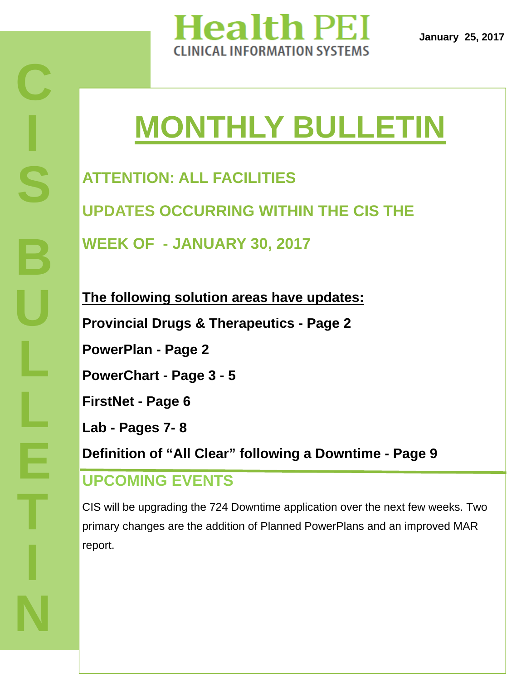

# **MONTHLY BULLETIN**

**ATTENTION: ALL FACILITIES UPDATES OCCURRING WITHIN THE CIS THE WEEK OF - JANUARY 30, 2017** 

**The following solution areas have updates: Provincial Drugs & Therapeutics - Page 2 PowerPlan - Page 2 PowerChart - Page 3 - 5 FirstNet - Page 6 Lab - Pages 7- 8 Definition of "All Clear" following a Downtime - Page 9 UPCOMING EVENTS** 

CIS will be upgrading the 724 Downtime application over the next few weeks. Two primary changes are the addition of Planned PowerPlans and an improved MAR report.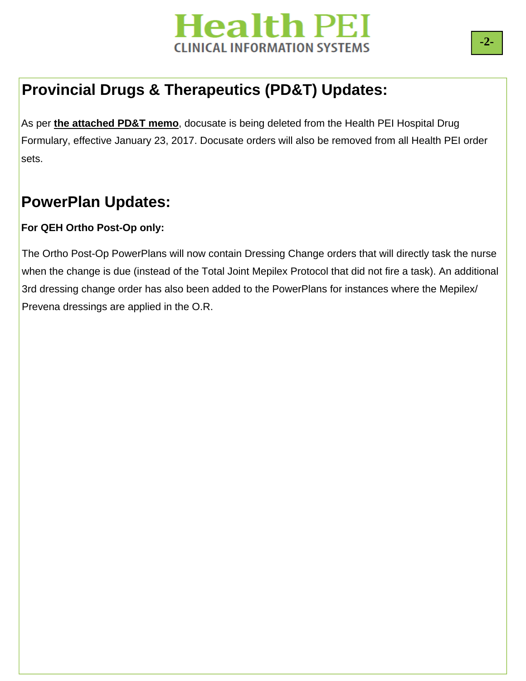

## **Provincial Drugs & Therapeutics (PD&T) Updates:**

As per **the attached PD&T memo**, docusate is being deleted from the Health PEI Hospital Drug Formulary, effective January 23, 2017. Docusate orders will also be removed from all Health PEI order sets.

### **PowerPlan Updates:**

#### **For QEH Ortho Post-Op only:**

The Ortho Post-Op PowerPlans will now contain Dressing Change orders that will directly task the nurse when the change is due (instead of the Total Joint Mepilex Protocol that did not fire a task). An additional 3rd dressing change order has also been added to the PowerPlans for instances where the Mepilex/ Prevena dressings are applied in the O.R.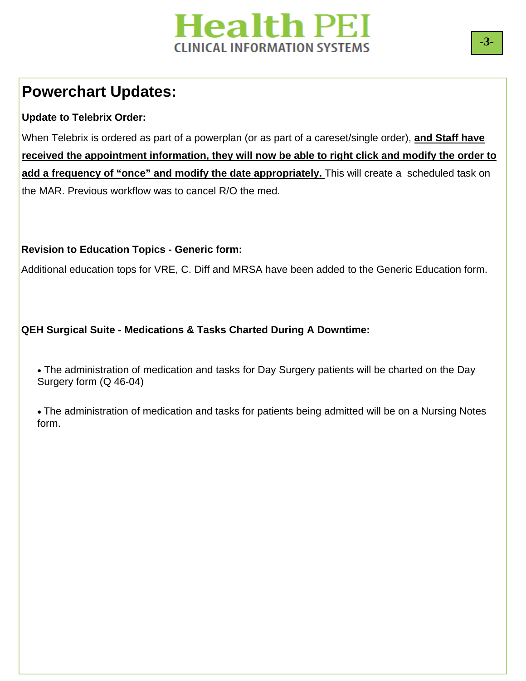### **Powerchart Updates:**

### **Update to Telebrix Order:**

When Telebrix is ordered as part of a powerplan (or as part of a careset/single order), **and Staff have received the appointment information, they will now be able to right click and modify the order to**  add a frequency of "once" and modify the date appropriately. This will create a scheduled task on the MAR. Previous workflow was to cancel R/O the med.

### **Revision to Education Topics - Generic form:**

Additional education tops for VRE, C. Diff and MRSA have been added to the Generic Education form.

### **QEH Surgical Suite - Medications & Tasks Charted During A Downtime:**

 The administration of medication and tasks for Day Surgery patients will be charted on the Day Surgery form (Q 46-04)

 The administration of medication and tasks for patients being admitted will be on a Nursing Notes form.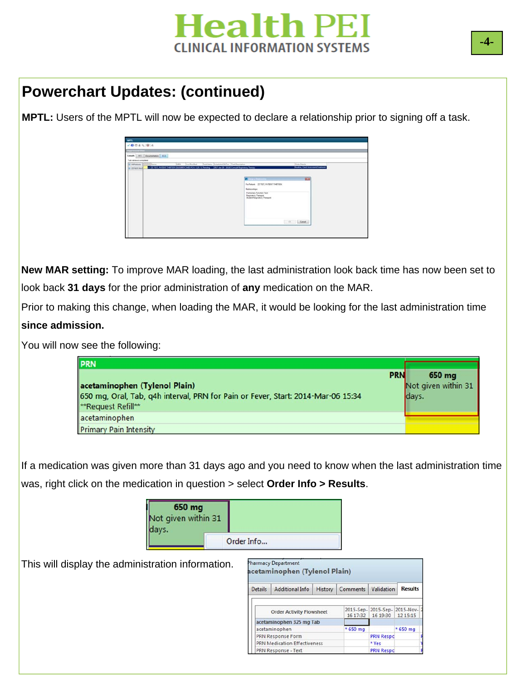

### **Powerchart Updates: (continued)**

**MPTL:** Users of the MPTL will now be expected to declare a relationship prior to signing off a task.

| 1004996<br>Departmental Firm                                                                                                              |                                                              |
|-------------------------------------------------------------------------------------------------------------------------------------------|--------------------------------------------------------------|
| Conserts 201 Decumerizion 100                                                                                                             |                                                              |
|                                                                                                                                           |                                                              |
| Task retrieval completed<br>Tax Rey Text<br><b>Bill All Pariarris</b><br><b>Jums</b><br><b>IT Neme</b>                                    | Tell Salus Schedulet 26Tre Tell Decretion<br>Civiles Datable |
| ++ (22 1917, PATENT THETSIN (010) REFAILER CH / L20 / E Panding   [2017-ten-20   1026 Consult Registery Therapy<br><b>EL 22 YELY, PAY</b> | <b>Bouline, Check Assessment, Tradition</b>                  |
|                                                                                                                                           |                                                              |
|                                                                                                                                           |                                                              |
|                                                                                                                                           | <b>BCA</b><br><b>Service Color</b>                           |
|                                                                                                                                           | For Patient 22 TEST PATENT THRTEEN                           |
|                                                                                                                                           | <b>Relationships:</b>                                        |
|                                                                                                                                           | <b>Futnessey Function Tech</b>                               |
|                                                                                                                                           | Regionery Therapiet<br><b>Student Farginatory Therapid</b>   |
|                                                                                                                                           |                                                              |
|                                                                                                                                           |                                                              |
|                                                                                                                                           |                                                              |
|                                                                                                                                           |                                                              |
|                                                                                                                                           |                                                              |
|                                                                                                                                           |                                                              |
|                                                                                                                                           | $\mathbb{R}$ . Coup                                          |

**New MAR setting:** To improve MAR loading, the last administration look back time has now been set to look back **31 days** for the prior administration of **any** medication on the MAR.

Prior to making this change, when loading the MAR, it would be looking for the last administration time **since admission.** 

You will now see the following:

| <b>PRN</b>                                                                                                                                            |                                        |
|-------------------------------------------------------------------------------------------------------------------------------------------------------|----------------------------------------|
| <b>PRN</b><br>acetaminophen (Tylenol Plain)<br>650 mg, Oral, Tab, q4h interval, PRN for Pain or Fever, Start: 2014-Mar-06 15:34<br>**Request Refill** | 650 mg<br>Not given within 31<br>days. |
| acetaminophen                                                                                                                                         |                                        |
| <b>Primary Pain Intensity</b>                                                                                                                         |                                        |

If a medication was given more than 31 days ago and you need to know when the last administration time was, right click on the medication in question > select **Order Info > Results**.

| 650 mg<br>Not given within 31<br>days. |            |  |
|----------------------------------------|------------|--|
|                                        | Order Info |  |

This will display the administration information.

| <b>Details</b> | Additional Info                     | History | Comments Validation |                                                      | <b>Results</b> |
|----------------|-------------------------------------|---------|---------------------|------------------------------------------------------|----------------|
|                | <b>Order Activity Flowsheet</b>     |         | 16 17:32            | 2015-Sep- 2015-Sep- 2015-Nov- 2<br>16 19:30 12 15:15 |                |
|                | acetaminophen 325 mg Tab            |         |                     |                                                      |                |
|                | acetaminophen                       |         | * 650 mg            |                                                      | * 650 mg       |
|                | <b>PRN Response Form</b>            |         |                     | <b>PRN Respo</b>                                     |                |
|                | <b>PRN Medication Effectiveness</b> |         |                     | * Yes                                                |                |
|                | PRN Response - Text                 |         |                     | <b>PRN Respo</b>                                     |                |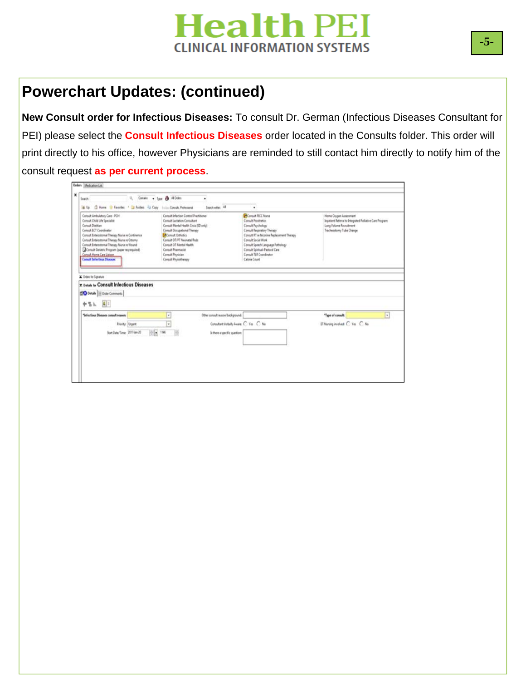## **Powerchart Updates: (continued)**

**New Consult order for Infectious Diseases:** To consult Dr. German (Infectious Diseases Consultant for PEI) please select the **Consult Infectious Diseases** order located in the Consults folder. This order will print directly to his office, however Physicians are reminded to still contact him directly to notify him of the consult request **as per current process**.

| Consult Ambulatory Care - PCH<br>Consult Child Life Specialist<br>Consult Dietitian<br>Consult ECT Coordinator<br>Consult Entercolornal Therapy Nurse re Continence<br>Consult Enterodomal Therapy Nursa re Ozlomy<br>Consult Enterceitomal Therapy Numir re Wound<br>Consult Geriatric Program (paper res required)<br>Consult Home Care Lisison<br><b>Consult Infectious Diseases</b> | Consult Infection Control Practitioner<br>Consult Lactation Consultant<br>Consult Mental Health Crisis (ED priv)<br>Consult Occupational Therapy<br>Consult Orthotics<br>Consult OT/PT Neonatal Peds<br>Consult OT Mental Health<br>Consult Phenriculat<br>Consult Physician<br>Consult Physiotherapy |                                          | <b>D</b> Consult PICC Nurse<br>Consult Fresthetics<br>Consult Psychology<br>Consult Respiratory Therapy<br>Consult RT re Nicotine Replacement Therapy<br>Consult Social Work<br>Consult Speech Language Pathology<br>Concult Spiritual-Pastorel Care<br>Coroult TLR Coordinator<br>Caloria Count | Home Oxygen Assessment<br>Jopatient Referral to Integrated Palliative Care Program<br>Lung Volume Recruitment<br>Tracheostomy Tube Change |                |
|-----------------------------------------------------------------------------------------------------------------------------------------------------------------------------------------------------------------------------------------------------------------------------------------------------------------------------------------------------------------------------------------|-------------------------------------------------------------------------------------------------------------------------------------------------------------------------------------------------------------------------------------------------------------------------------------------------------|------------------------------------------|--------------------------------------------------------------------------------------------------------------------------------------------------------------------------------------------------------------------------------------------------------------------------------------------------|-------------------------------------------------------------------------------------------------------------------------------------------|----------------|
|                                                                                                                                                                                                                                                                                                                                                                                         |                                                                                                                                                                                                                                                                                                       |                                          |                                                                                                                                                                                                                                                                                                  |                                                                                                                                           |                |
|                                                                                                                                                                                                                                                                                                                                                                                         |                                                                                                                                                                                                                                                                                                       |                                          |                                                                                                                                                                                                                                                                                                  |                                                                                                                                           |                |
| Codes for Signature<br><b>TRANSING Consult Infectious Diseases</b>                                                                                                                                                                                                                                                                                                                      |                                                                                                                                                                                                                                                                                                       |                                          |                                                                                                                                                                                                                                                                                                  |                                                                                                                                           |                |
|                                                                                                                                                                                                                                                                                                                                                                                         |                                                                                                                                                                                                                                                                                                       |                                          |                                                                                                                                                                                                                                                                                                  |                                                                                                                                           |                |
|                                                                                                                                                                                                                                                                                                                                                                                         | ٠                                                                                                                                                                                                                                                                                                     | Other consult reason/background:         |                                                                                                                                                                                                                                                                                                  | "Type of consult:                                                                                                                         | $\overline{ }$ |
| <b>190 Details</b>   Drale Commerts<br>中世上 41<br>*Infectious Diseases consult reason:<br><b>Priority: Urgent</b>                                                                                                                                                                                                                                                                        | w.                                                                                                                                                                                                                                                                                                    | Consultant Verbally Aware: C. Yes. C. No |                                                                                                                                                                                                                                                                                                  | ET Nursing involves C Ves C No.                                                                                                           |                |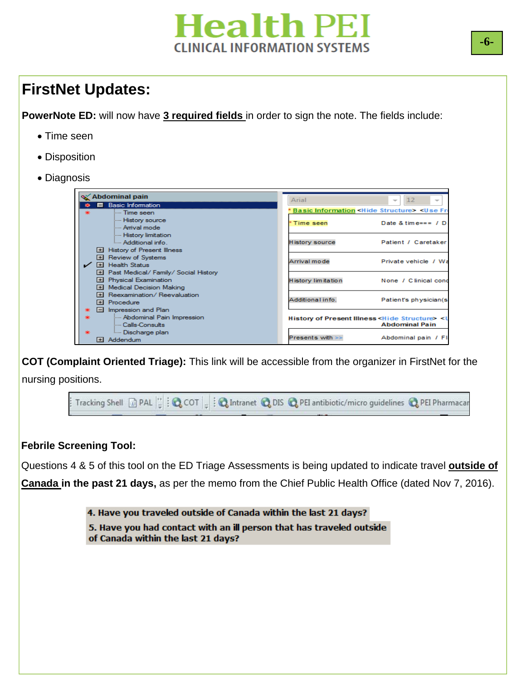### **FirstNet Updates:**

**PowerNote ED:** will now have **3 required fields** in order to sign the note. The fields include:

- Time seen
- Disposition
- Diagnosis

| X Abdominal pain                           | Arial                 | 12<br>$\overline{\phantom{a}}$<br>$\overline{\phantom{a}}$                   |
|--------------------------------------------|-----------------------|------------------------------------------------------------------------------|
| <b>Basic Information</b><br>$\blacksquare$ |                       |                                                                              |
| <b>Email</b> Time seen                     |                       | <b>Basic Information <hide structure=""> <use b="" fre<=""></use></hide></b> |
| <b>History source</b>                      |                       |                                                                              |
| <b>Emilyal</b> mode                        | * Time seen           | Date & time=== $/$ D                                                         |
| - History limitation                       |                       |                                                                              |
| <b>Additional info.</b>                    | <b>History source</b> | Patient / Caretaker                                                          |
| <b>El</b> History of Present Illness       |                       |                                                                              |
| El Review of Systems                       |                       |                                                                              |
| El Health Status<br>✓                      | Arrival mode          | Private vehicle / Wa                                                         |
| El Past Medical/ Family/ Social History    |                       |                                                                              |
| El Physical Examination                    | History limitation    | None / Clinical cond                                                         |
| El Medical Decision Making                 |                       |                                                                              |
| 国 Reexamination/Reevaluation               |                       |                                                                              |
| El Procedure                               | Additional info.      | Patient's physician(s)                                                       |
| $\Box$ Impression and Plan                 |                       |                                                                              |
| - Abdominal Pain Impression                |                       | History of Present Illness <hide structure=""> <u< th=""></u<></hide>        |
| i Calls-Consults                           |                       | <b>Abdominal Pain</b>                                                        |
| <b>Employee Discharge plan</b>             |                       |                                                                              |
| Addendum<br>$+1$                           | Presents with >>      | Abdominal pain / Fl                                                          |

**COT (Complaint Oriented Triage):** This link will be accessible from the organizer in FirstNet for the nursing positions.



#### **Febrile Screening Tool:**

Questions 4 & 5 of this tool on the ED Triage Assessments is being updated to indicate travel **outside of Canada in the past 21 days,** as per the memo from the Chief Public Health Office (dated Nov 7, 2016).

> 4. Have you traveled outside of Canada within the last 21 days? 5. Have you had contact with an ill person that has traveled outside of Canada within the last 21 days?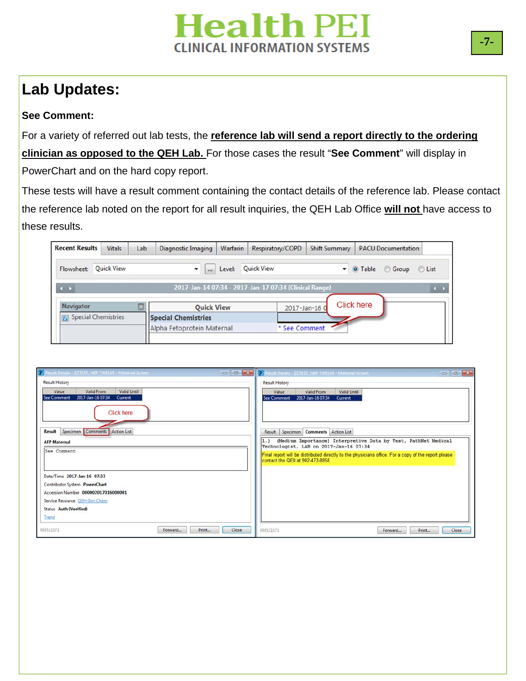## **Lab Updates:**

### **See Comment:**

For a variety of referred out lab tests, the **reference lab will send a report directly to the ordering clinician as opposed to the QEH Lab.** For those cases the result "**See Comment**" will display in PowerChart and on the hard copy report.

These tests will have a result comment containing the contact details of the reference lab. Please contact the reference lab noted on the report for all result inquiries, the QEH Lab Office **will not** have access to these results.

| Vitals | Lab                                      | Diagnostic Imaging    | Warfarin                   | Respiratory/COPD                                | <b>Shift Summary</b> |                                                                                          |                                                                 |
|--------|------------------------------------------|-----------------------|----------------------------|-------------------------------------------------|----------------------|------------------------------------------------------------------------------------------|-----------------------------------------------------------------|
|        |                                          | $\dddot{\phantom{0}}$ | Level:                     |                                                 |                      |                                                                                          | C List                                                          |
|        |                                          |                       |                            |                                                 |                      |                                                                                          | $\rightarrow$                                                   |
|        |                                          |                       |                            |                                                 |                      |                                                                                          |                                                                 |
|        |                                          |                       |                            |                                                 |                      |                                                                                          |                                                                 |
|        |                                          |                       |                            |                                                 |                      |                                                                                          |                                                                 |
|        | <b>Quick View</b><br>Special Chemistries |                       | <b>Special Chemistries</b> | <b>Quick View</b><br>Alpha Fetoprotein Maternal | <b>Quick View</b>    | 2017-Jan-14 07:34 - 2017-Jan-17 07:34 (Clinical Range)<br>2017-Jan-16 0<br>* See Comment | <b>PACU Documentation</b><br>O Table Group<br><b>Click here</b> |

| P Result Details - ZZTEST, NBF TWELVE - Maternal Screen                                                           | P Result Details - ZZTEST, NBF TWELVE - Maternal Screen<br>$\begin{array}{c c c c c c} \hline \multicolumn{3}{c }{\mathbf{C}} & \multicolumn{3}{c }{\mathbf{X}} \multicolumn{3}{c }{\mathbf{A}} \end{array}$ |
|-------------------------------------------------------------------------------------------------------------------|--------------------------------------------------------------------------------------------------------------------------------------------------------------------------------------------------------------|
| <b>Result History</b><br>Valid Until<br>Value<br>Valid From<br>2017-Jan-16 07:34<br><b>See Comment</b><br>Current | <b>Result History</b><br>Value<br>Valid From<br><b>Valid Until</b><br>2017-Jan-16 07:34<br>Current<br><b>See Comment</b>                                                                                     |
| <b>Click here</b>                                                                                                 |                                                                                                                                                                                                              |
| Result Specimen Comments Action List                                                                              | Result Specimen Comments Action List                                                                                                                                                                         |
| <b>AFP Maternal</b>                                                                                               | (Medium Importance) Interpretive Data by Test, PathNet Medical<br>1.1<br>Technologist, LAB on 2017-Jan-16 07:34                                                                                              |
| See Comment                                                                                                       | Final report will be distributed directly to the physicians office. For a copy of the report please<br>contact the QEII at 902-473-8858.                                                                     |
| Date/Time 2017-Jan-16 07:33                                                                                       |                                                                                                                                                                                                              |
| Contributor System PowerChart                                                                                     |                                                                                                                                                                                                              |
| Accession Number 000002017016000001                                                                               |                                                                                                                                                                                                              |
| Service Resource OEH Gen Chem                                                                                     |                                                                                                                                                                                                              |
| <b>Status Auth (Verified)</b>                                                                                     |                                                                                                                                                                                                              |
| Trend                                                                                                             |                                                                                                                                                                                                              |
| 808521971<br>Close<br>Print<br>Forward                                                                            | 808521971<br>Print<br>Close<br>Forward                                                                                                                                                                       |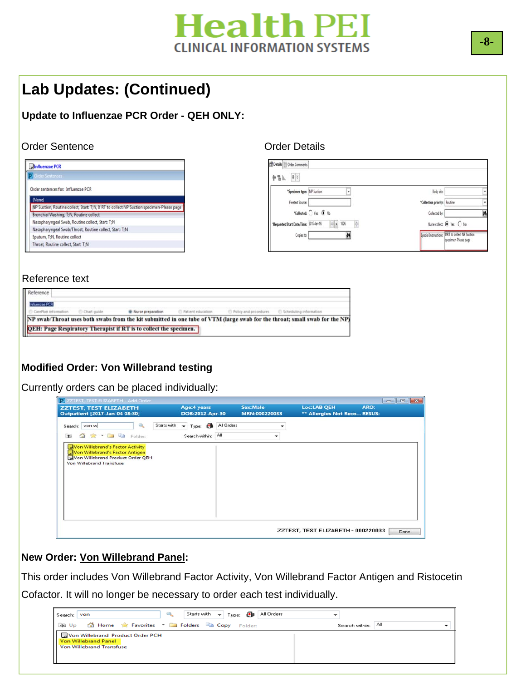## **Lab Updates: (Continued)**

### **Update to Influenzae PCR Order - QEH ONLY:**

#### Order Sentence **Order Details**

|        | <b>Influenzae PCR</b>                                                                     |
|--------|-------------------------------------------------------------------------------------------|
|        | <b>D</b> Order Sentences                                                                  |
|        | Order sentences for: Influenzae PCR                                                       |
| (None) |                                                                                           |
|        | NP Suction, Routine collect, Start: T;N, Jf RT to collect NP Suction specimen-Please page |
|        | Bronchial Washing, T:N. Routine collect                                                   |
|        | Nasopharyngeal Swab, Routine collect, Start: T;N                                          |
|        | Nasopharyngeal Swab/Throat, Routine collect, Start: T;N                                   |
|        | Sputum, T:N, Routine collect                                                              |
|        | Throat, Routine collect, Start: T:N                                                       |

| Body site:                                                                |  |
|---------------------------------------------------------------------------|--|
| *Collection priority: Routine                                             |  |
| Collected by:                                                             |  |
| Nurse collect: ( Yes C No                                                 |  |
| Special Instructions: IF RT to collect NP Suction<br>specimen-Please page |  |
|                                                                           |  |

#### Reference text

| Reference |                                                                                                                                                        |  |                                                                                                                             |
|-----------|--------------------------------------------------------------------------------------------------------------------------------------------------------|--|-----------------------------------------------------------------------------------------------------------------------------|
|           | Tribunciae PCR<br>C CareFlan information C Chart guide <b>@ Nusse preparation</b> C Patient education C Policy and procedures C Scheduling information |  |                                                                                                                             |
|           |                                                                                                                                                        |  | NP swab/Throat uses both swabs from the kit submitted in one tube of VTM (large swab for the throat; small swab for the NP) |
|           | QEH: Page Respiratory Therapist if RT is to collect the specimen.                                                                                      |  |                                                                                                                             |

### **Modified Order: Von Willebrand testing**

Currently orders can be placed individually:

| <b>P ZZTEST, TEST ELIZABETH - Add Order</b>                                                                                         |                                             |            |                                  |                                                    | $\begin{array}{c c c c c c} \hline \multicolumn{3}{c }{\mathbf{C}} & \multicolumn{3}{c }{\mathbf{X}} \end{array}$ |
|-------------------------------------------------------------------------------------------------------------------------------------|---------------------------------------------|------------|----------------------------------|----------------------------------------------------|-------------------------------------------------------------------------------------------------------------------|
| <b>ZZTEST, TEST ELIZABETH</b><br><b>Outpatient [2017-Jan-04 08:30]</b>                                                              | Age:4 years<br>DOB:2012-Apr-30              |            | <b>Sex:Male</b><br>MRN:000220033 | <b>Loc:LAB QEH</b><br>** Allergies Not Reco RESUS: | ARO:                                                                                                              |
| ۹<br>Starts with<br>Search: von w<br>d 会 · 口 中 Folder:<br>$\uparrow$                                                                | œ<br>$\cdot$<br>Type:<br>Search within: All | All Orders |                                  |                                                    |                                                                                                                   |
| Von Willebrand's Factor Activity<br>Von Willebrand's Factor Antigen<br>Von Willebrand Product Order QEH<br>Von Willebrand Transfuse |                                             |            |                                  |                                                    |                                                                                                                   |
|                                                                                                                                     |                                             |            |                                  | ZZTEST, TEST ELIZABETH - 000220033                 | Done                                                                                                              |

#### **New Order: Von Willebrand Panel:**

This order includes Von Willebrand Factor Activity, Von Willebrand Factor Antigen and Ristocetin

Cofactor. It will no longer be necessary to order each test individually.

| Search: VON                                                                                        | Starts with $\mathbf{v}$ Type: $\mathbf{f}$ All Orders |                    |
|----------------------------------------------------------------------------------------------------|--------------------------------------------------------|--------------------|
| <b>Example 10</b> Home <b>Reported Folders</b> Folders <b>Capacity</b> Copy Folder:                |                                                        | Search within: All |
| Von Willebrand Product Order PCH<br><b>Von Willebrand Panel</b><br><b>Von Willebrand Transfuse</b> |                                                        |                    |